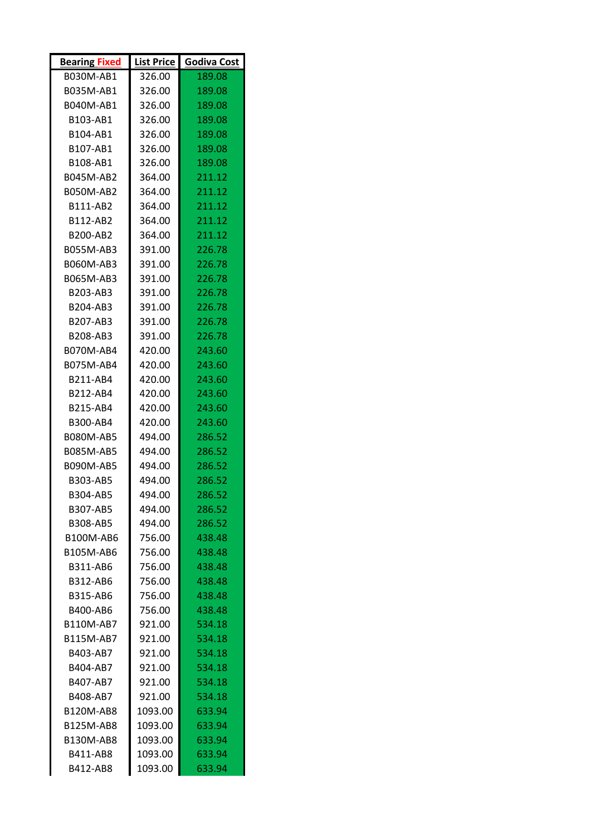| <b>Bearing Fixed</b> | List Price | Godiva Cost |
|----------------------|------------|-------------|
| B030M-AB1            | 326.00     | 189.08      |
| B035M-AB1            | 326.00     | 189.08      |
| B040M-AB1            | 326.00     | 189.08      |
| B103-AB1             | 326.00     | 189.08      |
| B104-AB1             | 326.00     | 189.08      |
| B107-AB1             | 326.00     | 189.08      |
| B108-AB1             | 326.00     | 189.08      |
| B045M-AB2            | 364.00     | 211.12      |
| <b>B050M-AB2</b>     | 364.00     | 211.12      |
| B111-AB2             | 364.00     | 211.12      |
| B112-AB2             | 364.00     | 211.12      |
| B200-AB2             | 364.00     | 211.12      |
| B055M-AB3            | 391.00     | 226.78      |
| B060M-AB3            | 391.00     | 226.78      |
| B065M-AB3            | 391.00     | 226.78      |
| B203-AB3             | 391.00     | 226.78      |
| B204-AB3             | 391.00     | 226.78      |
| B207-AB3             | 391.00     | 226.78      |
| B208-AB3             | 391.00     | 226.78      |
| B070M-AB4            | 420.00     | 243.60      |
| B075M-AB4            | 420.00     | 243.60      |
| B211-AB4             | 420.00     | 243.60      |
| B212-AB4             | 420.00     | 243.60      |
| B215-AB4             | 420.00     | 243.60      |
| B300-AB4             | 420.00     | 243.60      |
| B080M-AB5            | 494.00     | 286.52      |
| B085M-AB5            | 494.00     | 286.52      |
| B090M-AB5            | 494.00     | 286.52      |
| B303-AB5             | 494.00     | 286.52      |
| B304-AB5             | 494.00     | 286.52      |
| <b>B307-AB5</b>      | 494.00     | 286.52      |
| B308-AB5             | 494.00     | 286.52      |
| B100M-AB6            | 756.00     | 438.48      |
| B105M-AB6            | 756.00     | 438.48      |
| B311-AB6             | 756.00     | 438.48      |
| B312-AB6             | 756.00     | 438.48      |
| B315-AB6             | 756.00     | 438.48      |
| B400-AB6             | 756.00     | 438.48      |
| <b>B110M-AB7</b>     | 921.00     | 534.18      |
| B115M-AB7            | 921.00     | 534.18      |
| B403-AB7             | 921.00     | 534.18      |
| B404-AB7             | 921.00     | 534.18      |
| B407-AB7             | 921.00     | 534.18      |
| B408-AB7             | 921.00     | 534.18      |
| B120M-AB8            | 1093.00    | 633.94      |
| <b>B125M-AB8</b>     | 1093.00    | 633.94      |
| B130M-AB8            | 1093.00    | 633.94      |
| B411-AB8             | 1093.00    | 633.94      |
| B412-AB8             | 1093.00    | 633.94      |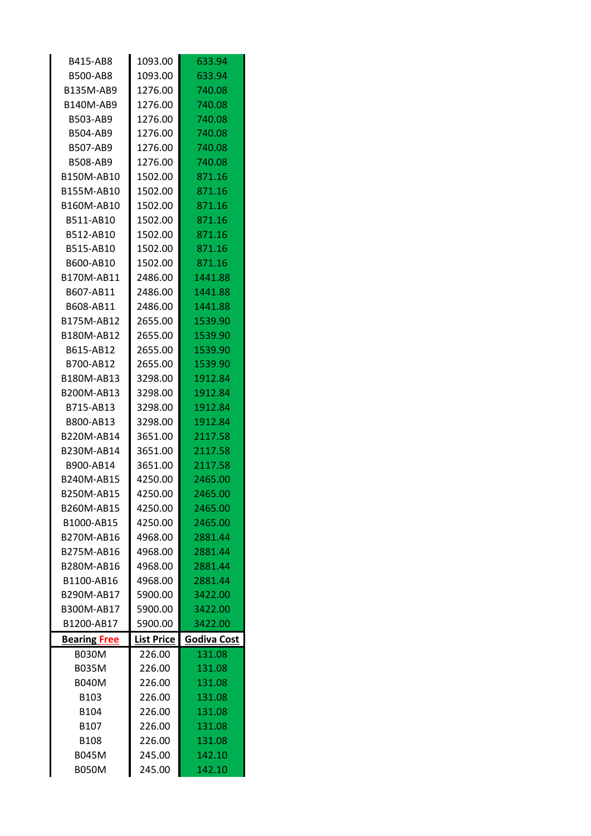| <b>B415-AB8</b>     | 1093.00           | 633.94             |
|---------------------|-------------------|--------------------|
| <b>B500-AB8</b>     | 1093.00           | 633.94             |
| B135M-AB9           | 1276.00           | 740.08             |
| B140M-AB9           | 1276.00           | 740.08             |
| B503-AB9            | 1276.00           | 740.08             |
| B504-AB9            | 1276.00           | 740.08             |
| B507-AB9            | 1276.00           | 740.08             |
| B508-AB9            | 1276.00           | 740.08             |
| B150M-AB10          | 1502.00           | 871.16             |
| B155M-AB10          | 1502.00           | 871.16             |
| B160M-AB10          | 1502.00           | 871.16             |
| B511-AB10           | 1502.00           | 871.16             |
| B512-AB10           | 1502.00           | 871.16             |
| B515-AB10           | 1502.00           | 871.16             |
| B600-AB10           | 1502.00           | 871.16             |
| B170M-AB11          | 2486.00           | 1441.88            |
| B607-AB11           | 2486.00           | 1441.88            |
| B608-AB11           | 2486.00           | 1441.88            |
| B175M-AB12          | 2655.00           | 1539.90            |
| B180M-AB12          | 2655.00           | 1539.90            |
| B615-AB12           | 2655.00           | 1539.90            |
| B700-AB12           | 2655.00           | 1539.90            |
| B180M-AB13          | 3298.00           | 1912.84            |
| B200M-AB13          | 3298.00           | 1912.84            |
| B715-AB13           | 3298.00           | 1912.84            |
|                     |                   |                    |
| B800-AB13           | 3298.00           | 1912.84            |
| B220M-AB14          | 3651.00           | 2117.58            |
| B230M-AB14          | 3651.00           | 2117.58            |
| B900-AB14           | 3651.00           | 2117.58            |
| B240M-AB15          | 4250.00           | 2465.00            |
| B250M-AB15          | 4250.00           | 2465.00            |
| B260M-AB15          | 4250.00           | 2465.00            |
| B1000-AB15          | 4250.00           | 2465.00            |
| B270M-AB16          | 4968.00           | 2881.44            |
| B275M-AB16          | 4968.00           | 2881.44            |
| B280M-AB16          | 4968.00           | 2881.44            |
| B1100-AB16          | 4968.00           | 2881.44            |
| B290M-AB17          | 5900.00           | 3422.00            |
| B300M-AB17          | 5900.00           | 3422.00            |
| B1200-AB17          | 5900.00           | 3422.00            |
| <b>Bearing Free</b> | <b>List Price</b> | <b>Godiva Cost</b> |
| <b>B030M</b>        | 226.00            | 131.08             |
| <b>B035M</b>        | 226.00            | 131.08             |
| <b>B040M</b>        | 226.00            | 131.08             |
| B103                | 226.00            | 131.08             |
| B104                | 226.00            | 131.08             |
| B <sub>107</sub>    | 226.00            | 131.08             |
| <b>B108</b>         | 226.00            | 131.08             |
| <b>B045M</b>        | 245.00            | 142.10             |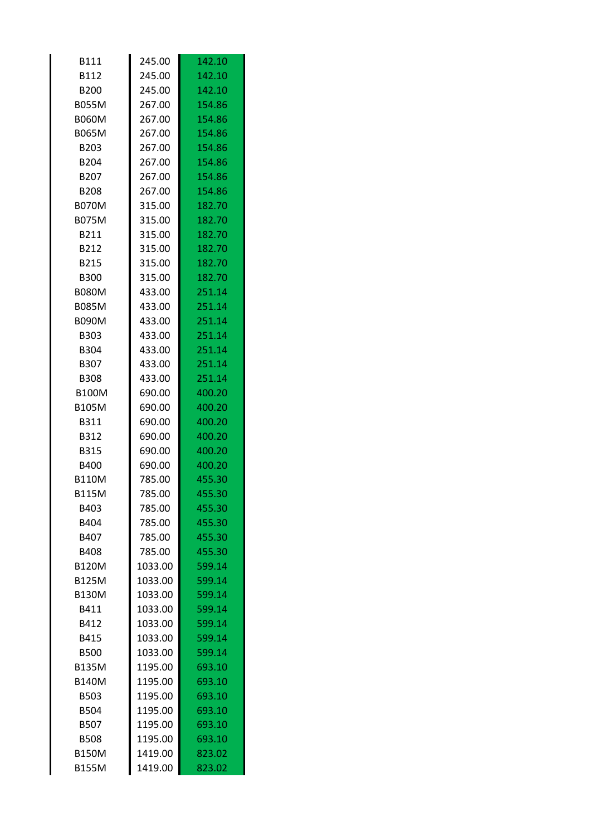| <b>B111</b>  | 245.00  | 142.10 |
|--------------|---------|--------|
| B112         | 245.00  | 142.10 |
| <b>B200</b>  | 245.00  | 142.10 |
| <b>B055M</b> | 267.00  | 154.86 |
| <b>B060M</b> | 267.00  | 154.86 |
| <b>B065M</b> | 267.00  | 154.86 |
| B203         | 267.00  | 154.86 |
| <b>B204</b>  | 267.00  | 154.86 |
| B207         | 267.00  | 154.86 |
| <b>B208</b>  | 267.00  | 154.86 |
| <b>B070M</b> | 315.00  | 182.70 |
| <b>B075M</b> | 315.00  | 182.70 |
| B211         | 315.00  | 182.70 |
| B212         | 315.00  | 182.70 |
| <b>B215</b>  | 315.00  | 182.70 |
| <b>B300</b>  | 315.00  | 182.70 |
| <b>B080M</b> | 433.00  | 251.14 |
| <b>B085M</b> | 433.00  | 251.14 |
| <b>B090M</b> | 433.00  | 251.14 |
| B303         | 433.00  | 251.14 |
| <b>B304</b>  | 433.00  | 251.14 |
| <b>B307</b>  | 433.00  | 251.14 |
| <b>B308</b>  | 433.00  | 251.14 |
| <b>B100M</b> | 690.00  | 400.20 |
| <b>B105M</b> | 690.00  | 400.20 |
| B311         | 690.00  | 400.20 |
| B312         | 690.00  | 400.20 |
| <b>B315</b>  | 690.00  | 400.20 |
| <b>B400</b>  | 690.00  | 400.20 |
| <b>B110M</b> | 785.00  | 455.30 |
| <b>B115M</b> | 785.00  | 455.30 |
| B403         | 785.00  | 455.30 |
| B404         | 785.00  | 455.30 |
| B407         | 785.00  | 455.30 |
| <b>B408</b>  | 785.00  | 455.30 |
| <b>B120M</b> | 1033.00 | 599.14 |
| <b>B125M</b> | 1033.00 | 599.14 |
| <b>B130M</b> | 1033.00 | 599.14 |
| B411         | 1033.00 | 599.14 |
| B412         | 1033.00 | 599.14 |
| <b>B415</b>  | 1033.00 | 599.14 |
| <b>B500</b>  | 1033.00 | 599.14 |
| <b>B135M</b> | 1195.00 | 693.10 |
| <b>B140M</b> | 1195.00 | 693.10 |
| <b>B503</b>  | 1195.00 | 693.10 |
| <b>B504</b>  | 1195.00 | 693.10 |
| <b>B507</b>  | 1195.00 | 693.10 |
| <b>B508</b>  | 1195.00 | 693.10 |
| <b>B150M</b> | 1419.00 | 823.02 |
| <b>B155M</b> | 1419.00 | 823.02 |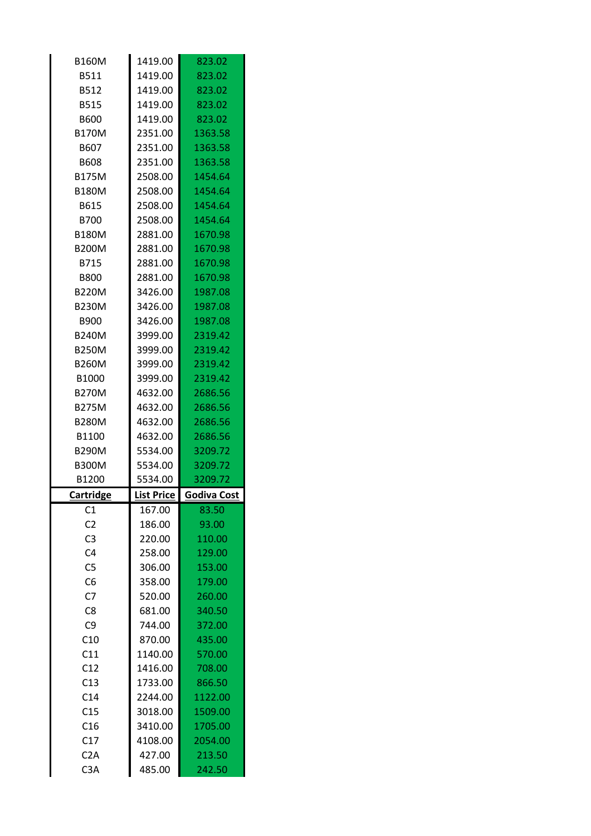| <b>B160M</b>                         | 1419.00           | 823.02             |
|--------------------------------------|-------------------|--------------------|
| B511                                 | 1419.00           | 823.02             |
| B512                                 | 1419.00           | 823.02             |
| <b>B515</b>                          | 1419.00           | 823.02             |
| <b>B600</b>                          | 1419.00           | 823.02             |
| <b>B170M</b>                         | 2351.00           | 1363.58            |
| B607                                 | 2351.00           | 1363.58            |
| <b>B608</b>                          | 2351.00           | 1363.58            |
| <b>B175M</b>                         | 2508.00           | 1454.64            |
| <b>B180M</b>                         | 2508.00           | 1454.64            |
| B615                                 | 2508.00           | 1454.64            |
| <b>B700</b>                          | 2508.00           | 1454.64            |
| <b>B180M</b>                         | 2881.00           | 1670.98            |
| <b>B200M</b>                         | 2881.00           | 1670.98            |
| B715                                 | 2881.00           | 1670.98            |
| <b>B800</b>                          | 2881.00           | 1670.98            |
| <b>B220M</b>                         | 3426.00           | 1987.08            |
| <b>B230M</b>                         | 3426.00           | 1987.08            |
| <b>B900</b>                          | 3426.00           | 1987.08            |
| <b>B240M</b>                         | 3999.00           | 2319.42            |
| <b>B250M</b>                         | 3999.00           | 2319.42            |
| <b>B260M</b>                         | 3999.00           | 2319.42            |
| B1000                                | 3999.00           | 2319.42            |
| <b>B270M</b>                         | 4632.00           | 2686.56            |
| <b>B275M</b>                         | 4632.00           | 2686.56            |
|                                      |                   |                    |
| <b>B280M</b>                         | 4632.00           | 2686.56            |
| B1100                                | 4632.00           | 2686.56            |
| <b>B290M</b>                         | 5534.00           | 3209.72            |
| <b>B300M</b>                         | 5534.00           | 3209.72            |
| B1200                                | 5534.00           | 3209.72            |
| Cartridge                            | <b>List Price</b> | <b>Godiva Cost</b> |
| C1                                   | 167.00            | 83.50              |
| C <sub>2</sub>                       | 186.00            | 93.00              |
| C <sub>3</sub>                       | 220.00            | 110.00             |
| C <sub>4</sub>                       | 258.00            | 129.00             |
| C <sub>5</sub>                       | 306.00            | 153.00             |
| C <sub>6</sub>                       | 358.00            | 179.00             |
| C <sub>7</sub>                       | 520.00            | 260.00             |
| C <sub>8</sub>                       | 681.00            | 340.50             |
| C <sub>9</sub>                       | 744.00            | 372.00             |
| C10                                  | 870.00            | 435.00             |
| C11                                  | 1140.00           | 570.00             |
| C12                                  | 1416.00           | 708.00             |
| C13                                  | 1733.00           | 866.50             |
| C <sub>14</sub>                      | 2244.00           | 1122.00            |
| C15                                  | 3018.00           | 1509.00            |
| C16                                  | 3410.00           | 1705.00            |
| C17                                  | 4108.00           | 2054.00            |
| C <sub>2</sub> A<br>C <sub>3</sub> A | 427.00<br>485.00  | 213.50<br>242.50   |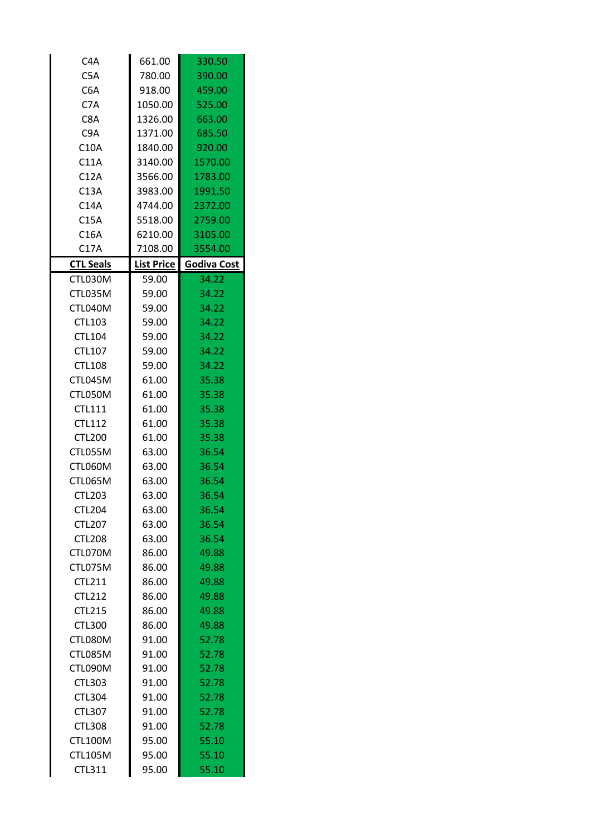| C4A              | 661.00            | 330.50      |
|------------------|-------------------|-------------|
| C <sub>5</sub> A | 780.00            | 390.00      |
| C6A              | 918.00            | 459.00      |
| C7A              | 1050.00           | 525.00      |
| C8A              | 1326.00           | 663.00      |
| C <sub>9</sub> A | 1371.00           | 685.50      |
| C10A             | 1840.00           | 920.00      |
| C11A             | 3140.00           | 1570.00     |
| C12A             | 3566.00           | 1783.00     |
| C13A             | 3983.00           | 1991.50     |
| C14A             | 4744.00           | 2372.00     |
| C15A             | 5518.00           | 2759.00     |
| C16A             | 6210.00           | 3105.00     |
| C17A             | 7108.00           | 3554.00     |
| <b>CTL Seals</b> | <b>List Price</b> | Godiva Cost |
| CTL030M          | 59.00             | 34.22       |
| CTL035M          | 59.00             | 34.22       |
| CTL040M          | 59.00             | 34.22       |
| CTL103           | 59.00             | 34.22       |
| <b>CTL104</b>    | 59.00             | 34.22       |
| CTL107           | 59.00             | 34.22       |
| <b>CTL108</b>    | 59.00             | 34.22       |
| CTL045M          | 61.00             | 35.38       |
| CTL050M          | 61.00             | 35.38       |
| <b>CTL111</b>    | 61.00             | 35.38       |
| <b>CTL112</b>    | 61.00             | 35.38       |
| <b>CTL200</b>    | 61.00             | 35.38       |
| CTL055M          | 63.00             | 36.54       |
| CTL060M          | 63.00             | 36.54       |
| CTL065M          | 63.00             | 36.54       |
| <b>CTL203</b>    | 63.00             | 36.54       |
| <b>CTL204</b>    | 63.00             | 36.54       |
| <b>CTL207</b>    | 63.00             | 36.54       |
| <b>CTL208</b>    | 63.00             | 36.54       |
| CTL070M          | 86.00             | 49.88       |
| CTL075M          | 86.00             | 49.88       |
| <b>CTL211</b>    | 86.00             | 49.88       |
| <b>CTL212</b>    | 86.00             | 49.88       |
| <b>CTL215</b>    | 86.00             | 49.88       |
| <b>CTL300</b>    | 86.00             | 49.88       |
| CTL080M          | 91.00             | 52.78       |
| CTL085M          | 91.00             | 52.78       |
| CTL090M          | 91.00             | 52.78       |
| <b>CTL303</b>    | 91.00             | 52.78       |
| <b>CTL304</b>    | 91.00             | 52.78       |
| <b>CTL307</b>    | 91.00             | 52.78       |
| <b>CTL308</b>    | 91.00             | 52.78       |
| <b>CTL100M</b>   | 95.00             | 55.10       |
| <b>CTL105M</b>   | 95.00             | 55.10       |
| CTL311           | 95.00             | 55.10       |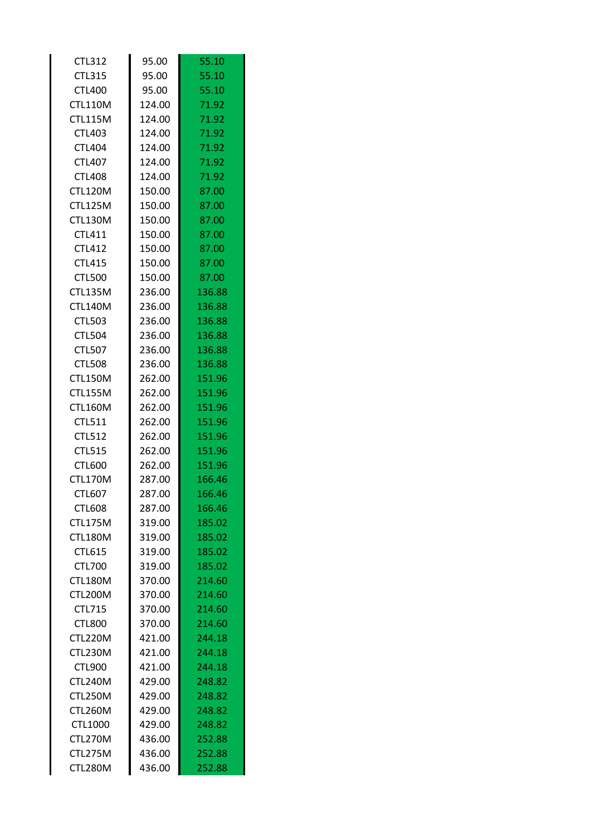| <b>CTL312</b>  | 95.00  | 55.10  |
|----------------|--------|--------|
| <b>CTL315</b>  | 95.00  | 55.10  |
| <b>CTL400</b>  | 95.00  | 55.10  |
| <b>CTL110M</b> | 124.00 | 71.92  |
| <b>CTL115M</b> | 124.00 | 71.92  |
| <b>CTL403</b>  | 124.00 | 71.92  |
| <b>CTL404</b>  | 124.00 | 71.92  |
| <b>CTL407</b>  | 124.00 | 71.92  |
| <b>CTL408</b>  | 124.00 | 71.92  |
| <b>CTL120M</b> | 150.00 | 87.00  |
| <b>CTL125M</b> | 150.00 | 87.00  |
| <b>CTL130M</b> | 150.00 | 87.00  |
| <b>CTL411</b>  | 150.00 | 87.00  |
| <b>CTL412</b>  | 150.00 | 87.00  |
| <b>CTL415</b>  | 150.00 | 87.00  |
| <b>CTL500</b>  | 150.00 | 87.00  |
| <b>CTL135M</b> | 236.00 | 136.88 |
| <b>CTL140M</b> | 236.00 | 136.88 |
| <b>CTL503</b>  | 236.00 | 136.88 |
| <b>CTL504</b>  | 236.00 | 136.88 |
| <b>CTL507</b>  | 236.00 | 136.88 |
| <b>CTL508</b>  | 236.00 | 136.88 |
| <b>CTL150M</b> | 262.00 | 151.96 |
| <b>CTL155M</b> | 262.00 | 151.96 |
| <b>CTL160M</b> | 262.00 | 151.96 |
| CTL511         | 262.00 | 151.96 |
| <b>CTL512</b>  | 262.00 | 151.96 |
| <b>CTL515</b>  | 262.00 | 151.96 |
| <b>CTL600</b>  | 262.00 | 151.96 |
| <b>CTL170M</b> | 287.00 | 166.46 |
| <b>CTL607</b>  | 287.00 | 166.46 |
| <b>CTL608</b>  | 287.00 | 166.46 |
| <b>CTL175M</b> | 319.00 | 185.02 |
| CTL180M        | 319.00 | 185.02 |
| <b>CTL615</b>  | 319.00 | 185.02 |
| <b>CTL700</b>  | 319.00 | 185.02 |
| CTL180M        | 370.00 | 214.60 |
| CTL200M        | 370.00 | 214.60 |
| CTL715         | 370.00 | 214.60 |
| <b>CTL800</b>  | 370.00 | 214.60 |
| CTL220M        | 421.00 | 244.18 |
| CTL230M        | 421.00 | 244.18 |
| <b>CTL900</b>  | 421.00 | 244.18 |
| CTL240M        | 429.00 | 248.82 |
| CTL250M        | 429.00 | 248.82 |
| CTL260M        | 429.00 | 248.82 |
| CTL1000        | 429.00 | 248.82 |
| CTL270M        | 436.00 | 252.88 |
| CTL275M        | 436.00 | 252.88 |
| CTL280M        | 436.00 | 252.88 |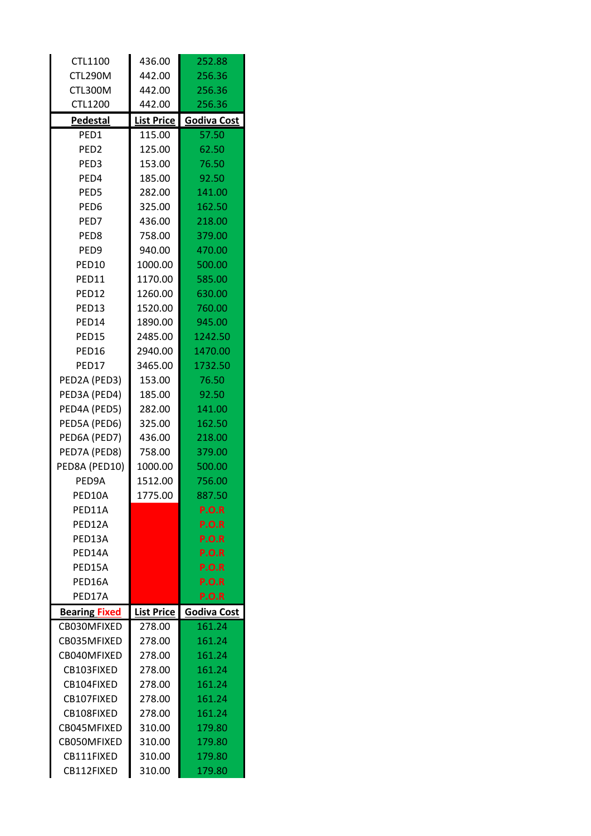| CTL1100              | 436.00            | 252.88             |
|----------------------|-------------------|--------------------|
| CTL290M              | 442.00            | 256.36             |
| CTL300M              | 442.00            | 256.36             |
| <b>CTL1200</b>       | 442.00            | 256.36             |
| <b>Pedestal</b>      | <b>List Price</b> | <b>Godiva Cost</b> |
| PED1                 | 115.00            | 57.50              |
| PED <sub>2</sub>     | 125.00            | 62.50              |
| PED <sub>3</sub>     | 153.00            | 76.50              |
| PED4                 | 185.00            | 92.50              |
| PED5                 | 282.00            | 141.00             |
| PED <sub>6</sub>     | 325.00            | 162.50             |
| PED7                 | 436.00            | 218.00             |
| PED <sub>8</sub>     | 758.00            | 379.00             |
| PED <sub>9</sub>     | 940.00            | 470.00             |
| PED10                | 1000.00           | 500.00             |
| PED11                | 1170.00           | 585.00             |
| PED12                | 1260.00           | 630.00             |
| PED13                | 1520.00           | 760.00             |
| PED14                | 1890.00           | 945.00             |
| PED15                | 2485.00           | 1242.50            |
| PED16                | 2940.00           | 1470.00            |
| PED17                | 3465.00           | 1732.50            |
| PED2A (PED3)         | 153.00            | 76.50              |
| PED3A (PED4)         | 185.00            | 92.50              |
| PED4A (PED5)         | 282.00            | 141.00             |
| PED5A (PED6)         | 325.00            | 162.50             |
| PED6A (PED7)         | 436.00            | 218.00             |
| PED7A (PED8)         | 758.00            | 379.00             |
| PED8A (PED10)        | 1000.00           | 500.00             |
| PED9A                | 1512.00           | 756.00             |
| PED10A               | 1775.00           | 887.50             |
| PED11A               |                   | P.O.R              |
| PED12A               |                   | <b>P.O.R</b>       |
| PED13A               |                   | <b>P.O.R</b>       |
| PED14A               |                   | <b>P.O.R</b>       |
| PFD15A               |                   | P.O.R              |
| PED16A               |                   | <b>P.O.R</b>       |
| PED17A               |                   | <b>P.O.R</b>       |
| <b>Bearing Fixed</b> | <b>List Price</b> | Godiva Cost        |
| CB030MFIXED          | 278.00            | 161.24             |
| CB035MFIXED          | 278.00            | 161.24             |
| CB040MFIXED          | 278.00            | 161.24             |
| CB103FIXED           | 278.00            | 161.24             |
| CB104FIXED           | 278.00            | 161.24             |
| CB107FIXED           | 278.00            | 161.24             |
| CB108FIXED           | 278.00            | 161.24             |
| CB045MFIXED          | 310.00            | 179.80             |
| CB050MFIXED          | 310.00            | 179.80             |
| CB111FIXED           | 310.00            | 179.80             |
| CB112FIXED           | 310.00            | 179.80             |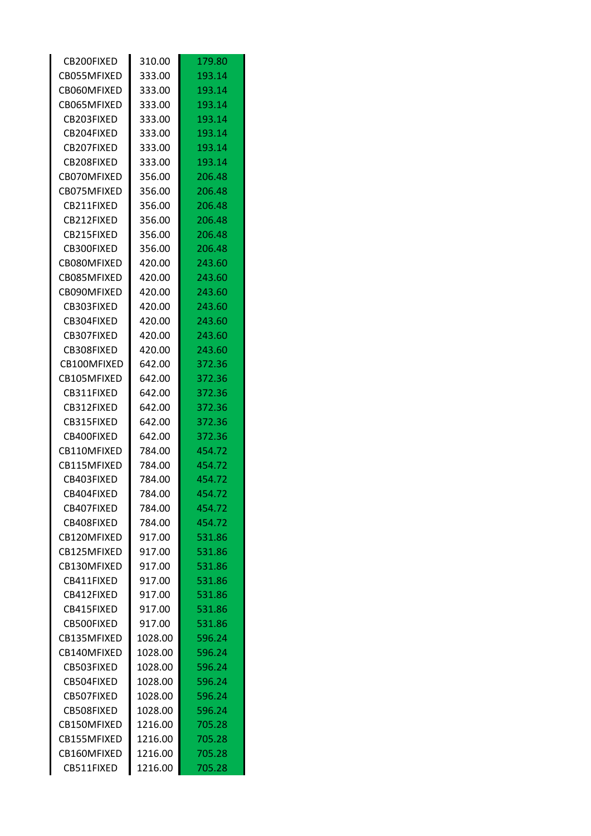| CB200FIXED        | 310.00  | 179.80 |
|-------------------|---------|--------|
| CB055MFIXED       | 333.00  | 193.14 |
| CB060MFIXED       | 333.00  | 193.14 |
| CB065MFIXED       | 333.00  | 193.14 |
| CB203FIXED        | 333.00  | 193.14 |
| CB204FIXED        | 333.00  | 193.14 |
| CB207FIXED        | 333.00  | 193.14 |
| CB208FIXED        | 333.00  | 193.14 |
| CB070MFIXED       | 356.00  | 206.48 |
| CB075MFIXED       | 356.00  | 206.48 |
| CB211FIXED        | 356.00  | 206.48 |
| CB212FIXED        | 356.00  | 206.48 |
| CB215FIXED        | 356.00  | 206.48 |
| CB300FIXED        | 356.00  | 206.48 |
| CB080MFIXED       | 420.00  | 243.60 |
| CB085MFIXED       | 420.00  | 243.60 |
| CB090MFIXED       | 420.00  | 243.60 |
| CB303FIXED        | 420.00  | 243.60 |
| CB304FIXED        | 420.00  | 243.60 |
| CB307FIXED        | 420.00  | 243.60 |
| CB308FIXED        | 420.00  | 243.60 |
| CB100MFIXED       | 642.00  | 372.36 |
| CB105MFIXED       | 642.00  | 372.36 |
| CB311FIXED        | 642.00  | 372.36 |
| CB312FIXED        | 642.00  | 372.36 |
| CB315FIXED        | 642.00  | 372.36 |
| CB400FIXED        | 642.00  | 372.36 |
| CB110MFIXED       | 784.00  | 454.72 |
| CB115MFIXED       | 784.00  | 454.72 |
| CB403FIXED        | 784.00  | 454.72 |
| CB404FIXED        | 784.00  | 454.72 |
| CB407FIXED        | 784.00  | 454.72 |
| CB408FIXED        | 784.00  | 454.72 |
| CB120MFIXED       | 917.00  | 531.86 |
| CB125MFIXED       | 917.00  | 531.86 |
| CB130MFIXED       | 917.00  | 531.86 |
| CB411FIXED        | 917.00  | 531.86 |
| CB412FIXED        | 917.00  | 531.86 |
| CB415FIXED        | 917.00  | 531.86 |
| <b>CB500FIXED</b> | 917.00  | 531.86 |
| CB135MFIXED       |         |        |
|                   | 1028.00 | 596.24 |
| CB140MFIXED       | 1028.00 | 596.24 |
| CB503FIXED        | 1028.00 | 596.24 |
| CB504FIXED        | 1028.00 | 596.24 |
| CB507FIXED        | 1028.00 | 596.24 |
| CB508FIXED        | 1028.00 | 596.24 |
| CB150MFIXED       | 1216.00 | 705.28 |
| CB155MFIXED       | 1216.00 | 705.28 |
| CB160MFIXED       | 1216.00 | 705.28 |
| CB511FIXED        | 1216.00 | 705.28 |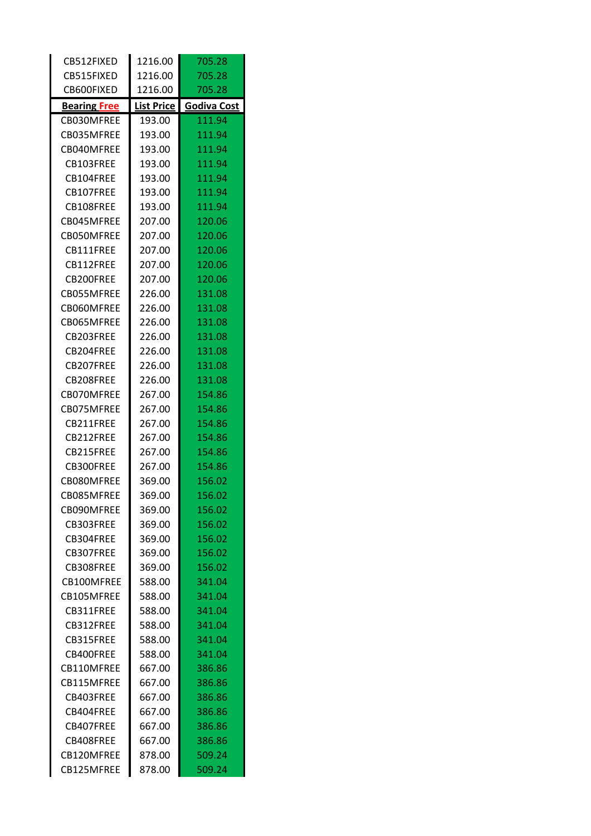| CB512FIXED          | 1216.00           | 705.28             |
|---------------------|-------------------|--------------------|
| CB515FIXED          | 1216.00           | 705.28             |
| CB600FIXED          | 1216.00           | 705.28             |
| <b>Bearing Free</b> | <b>List Price</b> | <b>Godiva Cost</b> |
| CB030MFREE          | 193.00            | 111.94             |
| CB035MFREE          | 193.00            | 111.94             |
| CB040MFREE          | 193.00            | 111.94             |
| CB103FREE           | 193.00            | 111.94             |
| CB104FREE           | 193.00            | 111.94             |
| CB107FREE           | 193.00            | 111.94             |
| CB108FREE           | 193.00            | 111.94             |
| CB045MFREE          | 207.00            | 120.06             |
| CB050MFREE          | 207.00            | 120.06             |
| CB111FREE           | 207.00            | 120.06             |
| CB112FREE           | 207.00            | 120.06             |
| CB200FREE           | 207.00            | 120.06             |
| CB055MFREE          | 226.00            | 131.08             |
| CB060MFREE          | 226.00            | 131.08             |
| CB065MFREE          | 226.00            | 131.08             |
| CB203FREE           | 226.00            | 131.08             |
| CB204FREE           | 226.00            | 131.08             |
| CB207FREE           | 226.00            | 131.08             |
| CB208FREE           | 226.00            | 131.08             |
| CB070MFREE          | 267.00            | 154.86             |
| CB075MFREE          | 267.00            | 154.86             |
| CB211FREE           | 267.00            | 154.86             |
| CB212FREE           | 267.00            | 154.86             |
| CB215FREE           | 267.00            | 154.86             |
| CB300FREE           | 267.00            | 154.86             |
| CB080MFREE          | 369.00            | 156.02             |
| CB085MFREE          | 369.00            | 156.02             |
| CB090MFREE          | 369.00            | 156.02             |
| CB303FREE           | 369.00            | 156.02             |
| CB304FREE           | 369.00            | 156.02             |
| CB307FREE           | 369.00            | 156.02             |
| CB308FRFF           | 369.00            | 156.02             |
| CB100MFREE          | 588.00            | 341.04             |
| CB105MFREE          | 588.00            | 341.04             |
| CB311FRFF           | 588.00            | 341.04             |
| CB312FREE           | 588.00            | 341.04             |
| CB315FREE           | 588.00            | 341.04             |
| CB400FREE           | 588.00            | 341.04             |
| CB110MFREE          | 667.00            | 386.86             |
| CB115MFREE          | 667.00            | 386.86             |
| CB403FREE           | 667.00            | 386.86             |
| CB404FREE           | 667.00            | 386.86             |
| CB407FREE           | 667.00            | 386.86             |
| CB408FREE           | 667.00            | 386.86             |
| CB120MFREE          | 878.00            | 509.24             |
| CB125MFREE          | 878.00            | 509.24             |